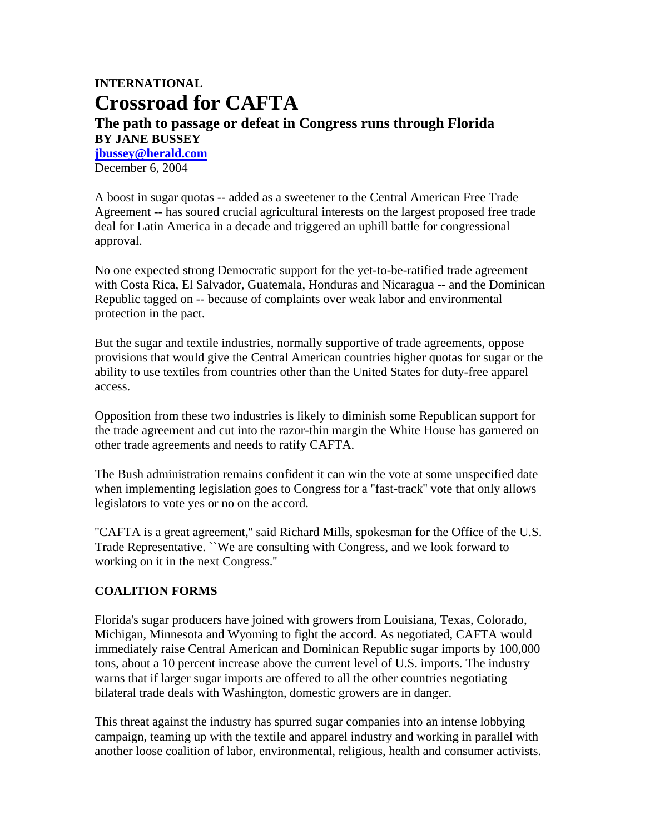## **INTERNATIONAL Crossroad for CAFTA The path to passage or defeat in Congress runs through Florida BY JANE BUSSEY jbussey@herald.com**

December 6, 2004

A boost in sugar quotas -- added as a sweetener to the Central American Free Trade Agreement -- has soured crucial agricultural interests on the largest proposed free trade deal for Latin America in a decade and triggered an uphill battle for congressional approval.

No one expected strong Democratic support for the yet-to-be-ratified trade agreement with Costa Rica, El Salvador, Guatemala, Honduras and Nicaragua -- and the Dominican Republic tagged on -- because of complaints over weak labor and environmental protection in the pact.

But the sugar and textile industries, normally supportive of trade agreements, oppose provisions that would give the Central American countries higher quotas for sugar or the ability to use textiles from countries other than the United States for duty-free apparel access.

Opposition from these two industries is likely to diminish some Republican support for the trade agreement and cut into the razor-thin margin the White House has garnered on other trade agreements and needs to ratify CAFTA.

The Bush administration remains confident it can win the vote at some unspecified date when implementing legislation goes to Congress for a ''fast-track'' vote that only allows legislators to vote yes or no on the accord.

''CAFTA is a great agreement,'' said Richard Mills, spokesman for the Office of the U.S. Trade Representative. ``We are consulting with Congress, and we look forward to working on it in the next Congress.''

## **COALITION FORMS**

Florida's sugar producers have joined with growers from Louisiana, Texas, Colorado, Michigan, Minnesota and Wyoming to fight the accord. As negotiated, CAFTA would immediately raise Central American and Dominican Republic sugar imports by 100,000 tons, about a 10 percent increase above the current level of U.S. imports. The industry warns that if larger sugar imports are offered to all the other countries negotiating bilateral trade deals with Washington, domestic growers are in danger.

This threat against the industry has spurred sugar companies into an intense lobbying campaign, teaming up with the textile and apparel industry and working in parallel with another loose coalition of labor, environmental, religious, health and consumer activists.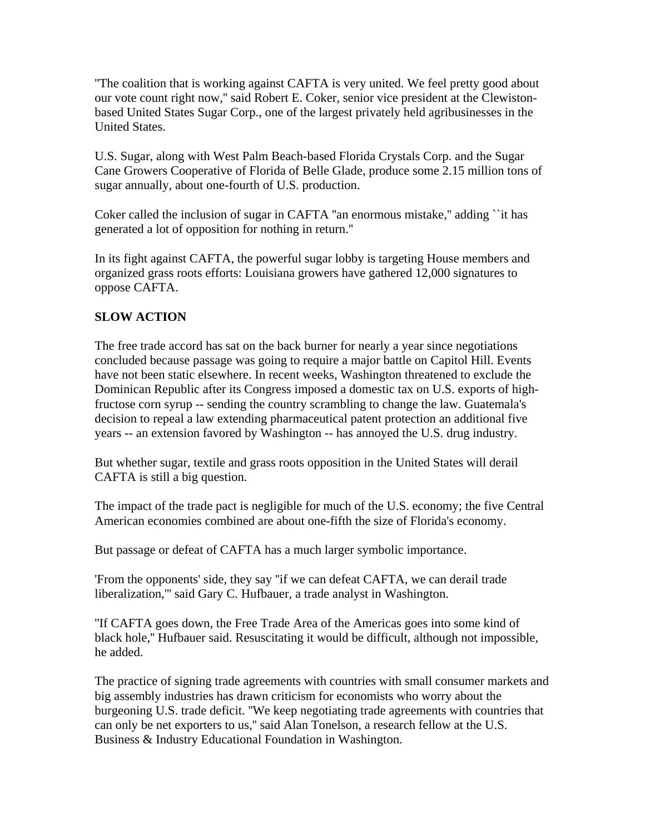''The coalition that is working against CAFTA is very united. We feel pretty good about our vote count right now,'' said Robert E. Coker, senior vice president at the Clewistonbased United States Sugar Corp., one of the largest privately held agribusinesses in the United States.

U.S. Sugar, along with West Palm Beach-based Florida Crystals Corp. and the Sugar Cane Growers Cooperative of Florida of Belle Glade, produce some 2.15 million tons of sugar annually, about one-fourth of U.S. production.

Coker called the inclusion of sugar in CAFTA ''an enormous mistake,'' adding ``it has generated a lot of opposition for nothing in return.''

In its fight against CAFTA, the powerful sugar lobby is targeting House members and organized grass roots efforts: Louisiana growers have gathered 12,000 signatures to oppose CAFTA.

## **SLOW ACTION**

The free trade accord has sat on the back burner for nearly a year since negotiations concluded because passage was going to require a major battle on Capitol Hill. Events have not been static elsewhere. In recent weeks, Washington threatened to exclude the Dominican Republic after its Congress imposed a domestic tax on U.S. exports of highfructose corn syrup -- sending the country scrambling to change the law. Guatemala's decision to repeal a law extending pharmaceutical patent protection an additional five years -- an extension favored by Washington -- has annoyed the U.S. drug industry.

But whether sugar, textile and grass roots opposition in the United States will derail CAFTA is still a big question.

The impact of the trade pact is negligible for much of the U.S. economy; the five Central American economies combined are about one-fifth the size of Florida's economy.

But passage or defeat of CAFTA has a much larger symbolic importance.

'From the opponents' side, they say ''if we can defeat CAFTA, we can derail trade liberalization,''' said Gary C. Hufbauer, a trade analyst in Washington.

''If CAFTA goes down, the Free Trade Area of the Americas goes into some kind of black hole,'' Hufbauer said. Resuscitating it would be difficult, although not impossible, he added.

The practice of signing trade agreements with countries with small consumer markets and big assembly industries has drawn criticism for economists who worry about the burgeoning U.S. trade deficit. ''We keep negotiating trade agreements with countries that can only be net exporters to us,'' said Alan Tonelson, a research fellow at the U.S. Business & Industry Educational Foundation in Washington.